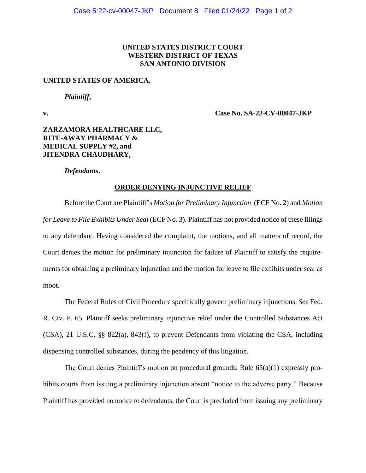## **UNITED STATES DISTRICT COURT WESTERN DISTRICT OF TEXAS SAN ANTONIO DIVISION**

#### **UNITED STATES OF AMERICA,**

*Plaintiff***,**

**v. Case No. SA-22-CV-00047-JKP**

# **ZARZAMORA HEALTHCARE LLC, RITE-AWAY PHARMACY & MEDICAL SUPPLY #2, and JITENDRA CHAUDHARY,**

*Defendants***.**

### **ORDER DENYING INJUNCTIVE RELIEF**

Before the Court are Plaintiff's *Motion for Preliminary Injunction* (ECF No. 2) and *Motion for Leave to File Exhibits Under Seal* (ECF No. 3). Plaintiff has not provided notice of these filings to any defendant. Having considered the complaint, the motions, and all matters of record, the Court denies the motion for preliminary injunction for failure of Plaintiff to satisfy the requirements for obtaining a preliminary injunction and the motion for leave to file exhibits under seal as moot.

The Federal Rules of Civil Procedure specifically govern preliminary injunctions. *See* Fed. R. Civ. P. 65. Plaintiff seeks preliminary injunctive relief under the Controlled Substances Act (CSA), 21 U.S.C. §§ 822(a), 843(f), to prevent Defendants from violating the CSA, including dispensing controlled substances, during the pendency of this litigation.

The Court denies Plaintiff's motion on procedural grounds. Rule 65(a)(1) expressly prohibits courts from issuing a preliminary injunction absent "notice to the adverse party." Because Plaintiff has provided no notice to defendants, the Court is precluded from issuing any preliminary